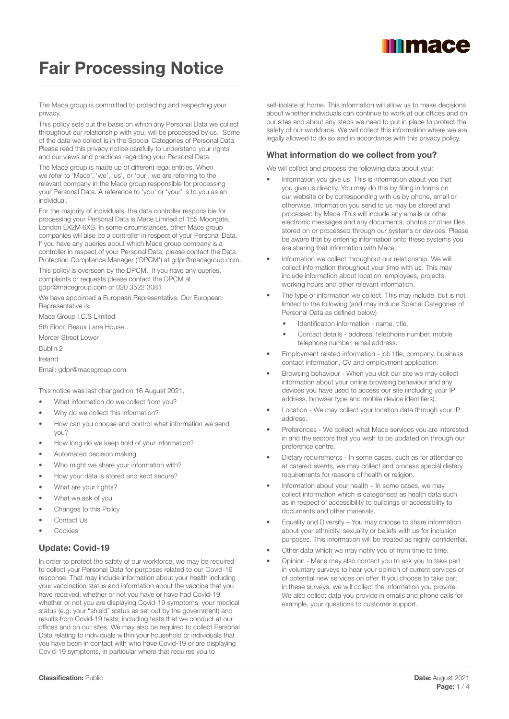

# Fair Processing Notice

The Mace group is committed to protecting and respecting your privacy.

This policy sets out the basis on which any Personal Data we collect throughout our relationship with you, will be processed by us. Some of the data we collect is in the Special Categories of Personal Data. Please read this privacy notice carefully to understand your rights and our views and practices regarding your Personal Data.

The Mace group is made up of different legal entities. When we refer to 'Mace', 'we', 'us', or 'our', we are referring to the relevant company in the Mace group responsible for processing your Personal Data. A reference to 'you' or 'your' is to you as an individual.

For the majority of individuals, the data controller responsible for processing your Personal Data is Mace Limited of 155 Moorgate, London EX2M 6XB. In some circumstances, other Mace group companies will also be a controller in respect of your Personal Data. If you have any queries about which Mace group company is a controller in respect of your Personal Data, please contact the Data Protection Compliance Manager ('DPCM') at gdpr@macegroup.com.

This policy is overseen by the DPCM. If you have any queries, complaints or requests please contact the DPCM at gdpr@macegroup.com or 020 3522 3081.

We have appointed a European Representative. Our European Representative is:

Mace Group I.C.S Limited

5th Floor, Beaux Lane House

Mercer Street Lower

Dublin 2

Ireland

Email: gdpr@macegroup.com

This notice was last changed on 16 August 2021.

- What information do we collect from you?
- Why do we collect this information?
- How can you choose and control what information we send you?
- How long do we keep hold of your information?
- Automated decision making
- Who might we share your information with?
- How your data is stored and kept secure?
- What are your rights?
- What we ask of you
- Changes to this Policy
- Contact Us
- Cookies

# Update: Covid-19

In order to protect the safety of our workforce, we may be required to collect your Personal Data for purposes related to our Covid-19 response. That may include information about your health including your vaccination status and information about the vaccine that you have received, whether or not you have or have had Covid-19, whether or not you are displaying Covid-19 symptoms, your medical status (e.g. your "shield" status as set out by the government) and results from Covid-19 tests, including tests that we conduct at our offices and on our sites. We may also be required to collect Personal Data relating to individuals within your household or individuals that you have been in contact with who have Covid-19 or are displaying Covid-19 symptoms, in particular where that requires you to

self-isolate at home. This information will allow us to make decisions about whether individuals can continue to work at our offices and on our sites and about any steps we need to put in place to protect the safety of our workforce. We will collect this information where we are legally allowed to do so and in accordance with this privacy policy.

# What information do we collect from you?

We will collect and process the following data about you:

- Information you give us. This is information about you that you give us directly. You may do this by filling in forms on our website or by corresponding with us by phone, email or otherwise. Information you send to us may be stored and processed by Mace. This will include any emails or other electronic messages and any documents, photos or other files stored on or processed through our systems or devices. Please be aware that by entering information onto these systems you are sharing that information with Mace.
- Information we collect throughout our relationship. We will collect information throughout your time with us. This may include information about location, employees, projects, working hours and other relevant information.
- The type of information we collect. This may include, but is not limited to the following (and may include Special Categories of Personal Data as defined below)
	- Identification information name, title.
	- Contact details address, telephone number, mobile telephone number, email address.
- Employment related information job title, company, business contact information, CV and employment application.
- Browsing behaviour When you visit our site we may collect information about your online browsing behaviour and any devices you have used to access our site (including your IP address, browser type and mobile device identifiers).
- Location We may collect your location data through your IP address.
- Preferences We collect what Mace services you are interested in and the sectors that you wish to be updated on through our preference centre.
- Dietary requirements In some cases, such as for attendance at catered events, we may collect and process special dietary requirements for reasons of health or religion.
- Information about your health In some cases, we may collect information which is categorised as health data such as in respect of accessibility to buildings or accessibility to documents and other materials.
- Equality and Diversity You may choose to share information about your ethnicity, sexuality or beliefs with us for inclusion purposes. This information will be treated as highly confidential.
- Other data which we may notify you of from time to time.
- Opinion Mace may also contact you to ask you to take part in voluntary surveys to hear your opinion of current services or of potential new services on offer. If you choose to take part in these surveys, we will collect the information you provide. We also collect data you provide in emails and phone calls for example, your questions to customer support.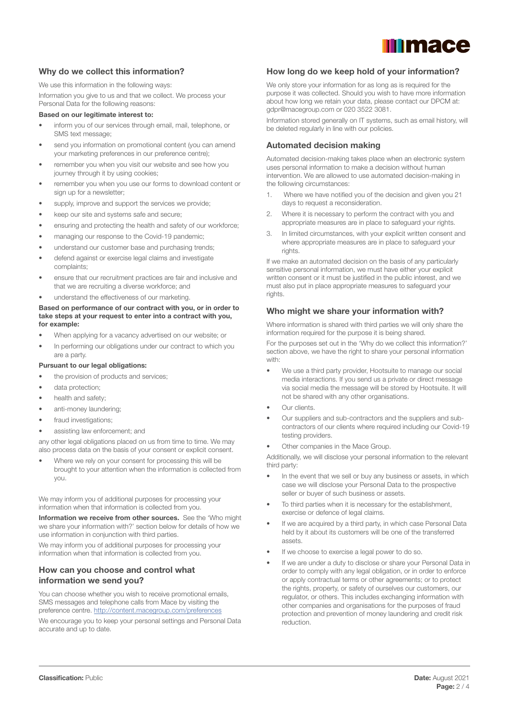

# Why do we collect this information?

We use this information in the following ways: Information you give to us and that we collect. We process your Personal Data for the following reasons:

#### Based on our legitimate interest to:

- inform you of our services through email, mail, telephone, or SMS text message;
- send you information on promotional content (you can amend your marketing preferences in our preference centre);
- remember you when you visit our website and see how you journey through it by using cookies;
- remember you when you use our forms to download content or sign up for a newsletter;
- supply, improve and support the services we provide;
- keep our site and systems safe and secure;
- ensuring and protecting the health and safety of our workforce;
- managing our response to the Covid-19 pandemic;
- understand our customer base and purchasing trends;
- defend against or exercise legal claims and investigate complaints;
- ensure that our recruitment practices are fair and inclusive and that we are recruiting a diverse workforce; and
- understand the effectiveness of our marketing.

#### Based on performance of our contract with you, or in order to take steps at your request to enter into a contract with you, for example:

- When applying for a vacancy advertised on our website; or
- In performing our obligations under our contract to which you are a party.

#### Pursuant to our legal obligations:

- the provision of products and services;
- data protection;
- health and safety;
- anti-money laundering;
- fraud investigations:
- assisting law enforcement; and

any other legal obligations placed on us from time to time. We may also process data on the basis of your consent or explicit consent.

• Where we rely on your consent for processing this will be brought to your attention when the information is collected from you.

We may inform you of additional purposes for processing your information when that information is collected from you.

Information we receive from other sources. See the 'Who might we share your information with?' section below for details of how we use information in conjunction with third parties.

We may inform you of additional purposes for processing your information when that information is collected from you.

# How can you choose and control what information we send you?

You can choose whether you wish to receive promotional emails, SMS messages and telephone calls from Mace by visiting the preference centre. <http://content.macegroup.com/preferences>

We encourage you to keep your personal settings and Personal Data accurate and up to date.

## How long do we keep hold of your information?

We only store your information for as long as is required for the purpose it was collected. Should you wish to have more information about how long we retain your data, please contact our DPCM at: gdpr@macegroup.com or 020 3522 3081.

Information stored generally on IT systems, such as email history, will be deleted regularly in line with our policies.

## Automated decision making

Automated decision-making takes place when an electronic system uses personal information to make a decision without human intervention. We are allowed to use automated decision-making in the following circumstances:

- 1. Where we have notified you of the decision and given you 21 days to request a reconsideration.
- 2. Where it is necessary to perform the contract with you and appropriate measures are in place to safeguard your rights.
- 3. In limited circumstances, with your explicit written consent and where appropriate measures are in place to safeguard your rights.

If we make an automated decision on the basis of any particularly sensitive personal information, we must have either your explicit written consent or it must be justified in the public interest, and we must also put in place appropriate measures to safeguard your rights.

## Who might we share your information with?

Where information is shared with third parties we will only share the information required for the purpose it is being shared.

For the purposes set out in the 'Why do we collect this information?' section above, we have the right to share your personal information with:

- We use a third party provider, Hootsuite to manage our social media interactions. If you send us a private or direct message via social media the message will be stored by Hootsuite. It will not be shared with any other organisations.
- Our clients.
- Our suppliers and sub-contractors and the suppliers and subcontractors of our clients where required including our Covid-19 testing providers.
- Other companies in the Mace Group.

Additionally, we will disclose your personal information to the relevant third party:

- In the event that we sell or buy any business or assets, in which case we will disclose your Personal Data to the prospective seller or buyer of such business or assets.
- To third parties when it is necessary for the establishment. exercise or defence of legal claims.
- If we are acquired by a third party, in which case Personal Data held by it about its customers will be one of the transferred assets.
- If we choose to exercise a legal power to do so.
- If we are under a duty to disclose or share your Personal Data in order to comply with any legal obligation, or in order to enforce or apply contractual terms or other agreements; or to protect the rights, property, or safety of ourselves our customers, our regulator, or others. This includes exchanging information with other companies and organisations for the purposes of fraud protection and prevention of money laundering and credit risk reduction.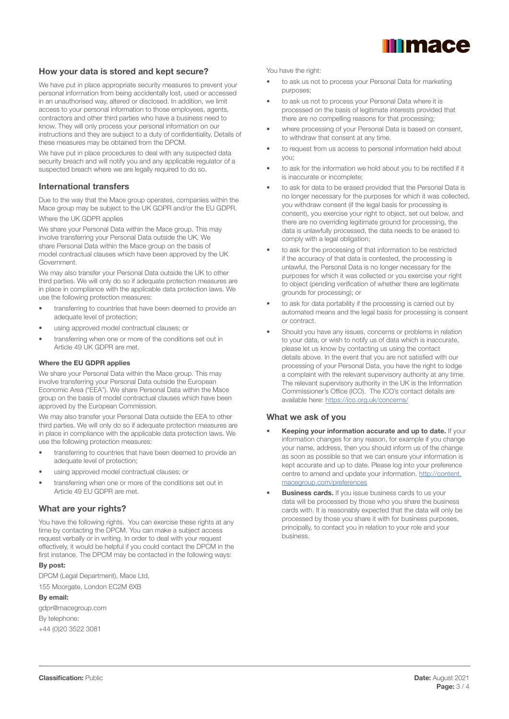

# How your data is stored and kept secure?

We have put in place appropriate security measures to prevent your personal information from being accidentally lost, used or accessed in an unauthorised way, altered or disclosed. In addition, we limit access to your personal information to those employees, agents, contractors and other third parties who have a business need to know. They will only process your personal information on our instructions and they are subject to a duty of confidentiality. Details of these measures may be obtained from the DPCM.

We have put in place procedures to deal with any suspected data security breach and will notify you and any applicable regulator of a suspected breach where we are legally required to do so.

## International transfers

Due to the way that the Mace group operates, companies within the Mace group may be subject to the UK GDPR and/or the EU GDPR.

Where the UK GDPR applies

We share your Personal Data within the Mace group. This may involve transferring your Personal Data outside the UK. We share Personal Data within the Mace group on the basis of model contractual clauses which have been approved by the UK Government.

We may also transfer your Personal Data outside the UK to other third parties. We will only do so if adequate protection measures are in place in compliance with the applicable data protection laws. We use the following protection measures:

- transferring to countries that have been deemed to provide an adequate level of protection;
- using approved model contractual clauses; or
- transferring when one or more of the conditions set out in Article 49 UK GDPR are met.

#### Where the EU GDPR applies

We share your Personal Data within the Mace group. This may involve transferring your Personal Data outside the European Economic Area ("EEA"). We share Personal Data within the Mace group on the basis of model contractual clauses which have been approved by the European Commission.

We may also transfer your Personal Data outside the EEA to other third parties. We will only do so if adequate protection measures are in place in compliance with the applicable data protection laws. We use the following protection measures:

- transferring to countries that have been deemed to provide an adequate level of protection;
- using approved model contractual clauses; or
- transferring when one or more of the conditions set out in Article 49 EU GDPR are met.

## What are your rights?

You have the following rights. You can exercise these rights at any time by contacting the DPCM. You can make a subject access request verbally or in writing. In order to deal with your request effectively, it would be helpful if you could contact the DPCM in the first instance. The DPCM may be contacted in the following ways:

#### By post:

DPCM (Legal Department), Mace Ltd, 155 Moorgate, London EC2M 6XB

#### By email:

By telephone:

gdpr@macegroup.com

+44 (0)20 3522 3081

You have the right:

- to ask us not to process your Personal Data for marketing purposes;
- to ask us not to process your Personal Data where it is processed on the basis of legitimate interests provided that there are no compelling reasons for that processing;
- where processing of your Personal Data is based on consent, to withdraw that consent at any time.
- to request from us access to personal information held about you;
- to ask for the information we hold about you to be rectified if it is inaccurate or incomplete;
- to ask for data to be erased provided that the Personal Data is no longer necessary for the purposes for which it was collected, you withdraw consent (if the legal basis for processing is consent), you exercise your right to object, set out below, and there are no overriding legitimate ground for processing, the data is unlawfully processed, the data needs to be erased to comply with a legal obligation;
- to ask for the processing of that information to be restricted if the accuracy of that data is contested, the processing is unlawful, the Personal Data is no longer necessary for the purposes for which it was collected or you exercise your right to object (pending verification of whether there are legitimate grounds for processing); or
- to ask for data portability if the processing is carried out by automated means and the legal basis for processing is consent or contract.
- Should you have any issues, concerns or problems in relation to your data, or wish to notify us of data which is inaccurate, please let us know by contacting us using the contact details above. In the event that you are not satisfied with our processing of your Personal Data, you have the right to lodge a complaint with the relevant supervisory authority at any time. The relevant supervisory authority in the UK is the Information Commissioner's Office (ICO). The ICO's contact details are available here: [https://ico.org.uk/concerns/](https://ico.org.uk/concerns/
)

## What we ask of you

- **Keeping your information accurate and up to date. If your** information changes for any reason, for example if you change your name, address, then you should inform us of the change as soon as possible so that we can ensure your information is kept accurate and up to date. Please log into your preference centre to amend and update your information. [http://content.](http://content.macegroup.com/preferences
) [macegroup.com/preferences](http://content.macegroup.com/preferences
)
- **Business cards.** If you issue business cards to us your data will be processed by those who you share the business cards with. It is reasonably expected that the data will only be processed by those you share it with for business purposes, principally, to contact you in relation to your role and your business.